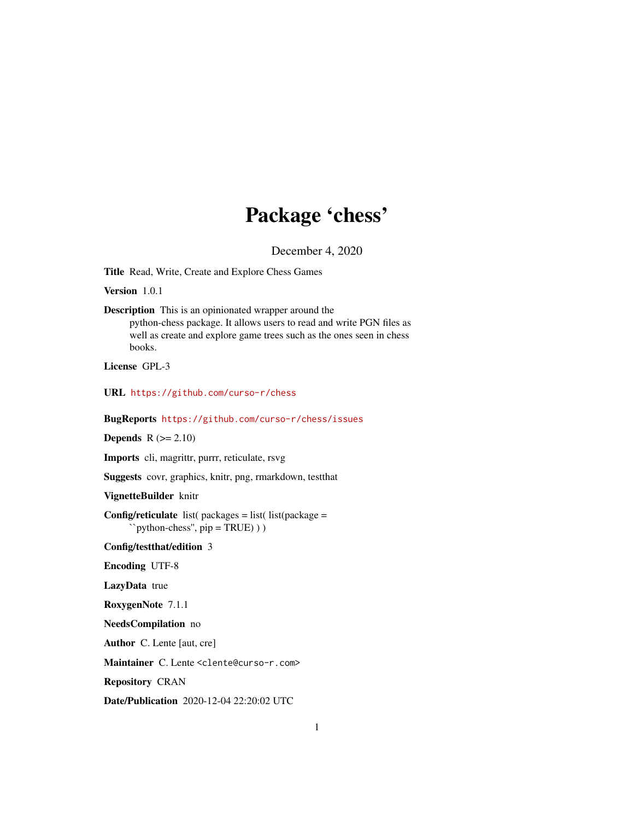# Package 'chess'

December 4, 2020

<span id="page-0-0"></span>Title Read, Write, Create and Explore Chess Games

Version 1.0.1

Description This is an opinionated wrapper around the python-chess package. It allows users to read and write PGN files as well as create and explore game trees such as the ones seen in chess books.

License GPL-3

URL <https://github.com/curso-r/chess>

BugReports <https://github.com/curso-r/chess/issues>

**Depends**  $R$  ( $>= 2.10$ )

Imports cli, magrittr, purrr, reticulate, rsvg

Suggests covr, graphics, knitr, png, rmarkdown, testthat

VignetteBuilder knitr

Config/reticulate list( $package = list($ list( $package =$ ``python-chess'', pip = TRUE) ) )

Config/testthat/edition 3

Encoding UTF-8

LazyData true

RoxygenNote 7.1.1

NeedsCompilation no

Author C. Lente [aut, cre]

Maintainer C. Lente <clente@curso-r.com>

Repository CRAN

Date/Publication 2020-12-04 22:20:02 UTC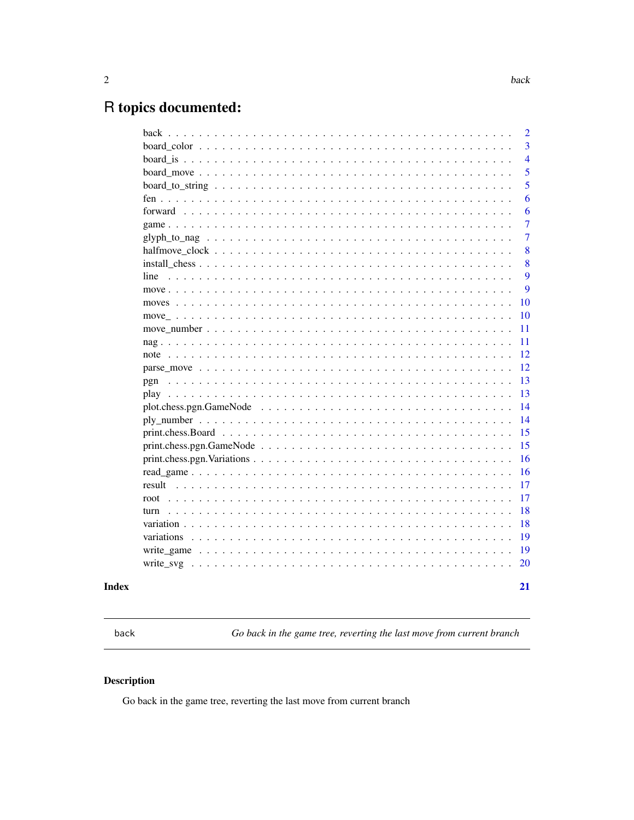# <span id="page-1-0"></span>R topics documented:

|                                                                                                                             | $\overline{2}$ |
|-----------------------------------------------------------------------------------------------------------------------------|----------------|
|                                                                                                                             | 3              |
|                                                                                                                             | $\overline{4}$ |
|                                                                                                                             | 5              |
|                                                                                                                             | 5              |
|                                                                                                                             | 6              |
|                                                                                                                             | 6              |
|                                                                                                                             | $\overline{7}$ |
|                                                                                                                             | 7              |
|                                                                                                                             | 8              |
|                                                                                                                             | 8              |
| line                                                                                                                        | 9              |
|                                                                                                                             | 9              |
|                                                                                                                             | 10             |
|                                                                                                                             | 10             |
|                                                                                                                             | 11             |
|                                                                                                                             | 11             |
|                                                                                                                             | 12             |
|                                                                                                                             | 12             |
| pgn                                                                                                                         | 13             |
|                                                                                                                             | 13             |
|                                                                                                                             | 14             |
|                                                                                                                             | 14             |
|                                                                                                                             | 15             |
| $print.\n    chess.pgn.GameNode \ldots \ldots \ldots \ldots \ldots \ldots \ldots \ldots \ldots \ldots \ldots \ldots \ldots$ | 15             |
| print.chess.pgn. Variations $\ldots \ldots \ldots \ldots \ldots \ldots \ldots \ldots \ldots \ldots \ldots \ldots \ldots$    | 16             |
|                                                                                                                             | 16             |
| result                                                                                                                      | 17             |
| root                                                                                                                        | 17             |
| turn                                                                                                                        | 18             |
|                                                                                                                             | 18             |
|                                                                                                                             | 19             |
|                                                                                                                             | 19             |
| write_svg                                                                                                                   | 20             |
|                                                                                                                             | 21             |
|                                                                                                                             |                |

# **Index**

 $\ensuremath{\mathsf{back}}$ 

Go back in the game tree, reverting the last move from current branch

# Description

Go back in the game tree, reverting the last move from current branch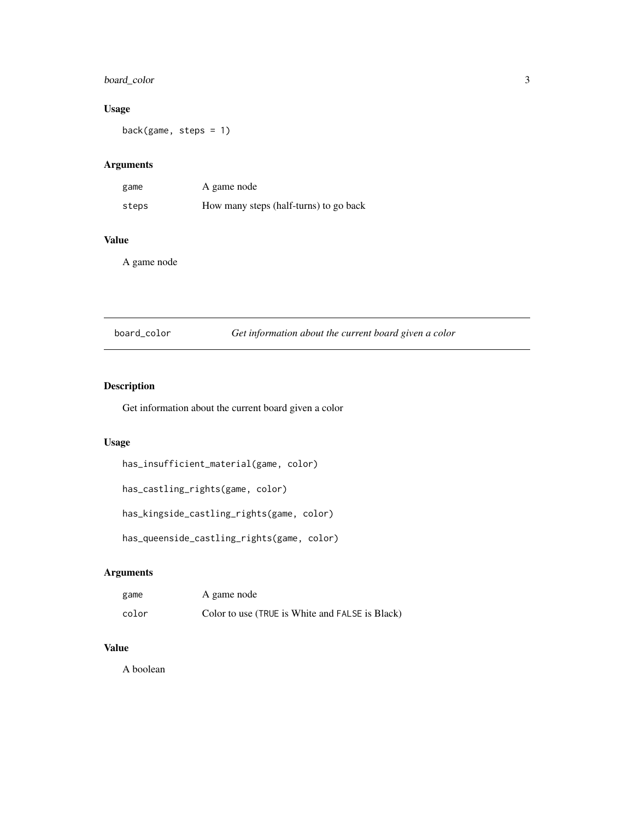# <span id="page-2-0"></span>board\_color 3

#### Usage

back(game, steps = 1)

### Arguments

| game  | A game node                            |
|-------|----------------------------------------|
| steps | How many steps (half-turns) to go back |

### Value

A game node

| board_color |  | Get information about the current board given a color |
|-------------|--|-------------------------------------------------------|
|-------------|--|-------------------------------------------------------|

#### Description

Get information about the current board given a color

#### Usage

```
has_insufficient_material(game, color)
```

```
has_castling_rights(game, color)
```

```
has_kingside_castling_rights(game, color)
```

```
has_queenside_castling_rights(game, color)
```
### Arguments

| game  | A game node                                     |
|-------|-------------------------------------------------|
| color | Color to use (TRUE is White and FALSE is Black) |

#### Value

A boolean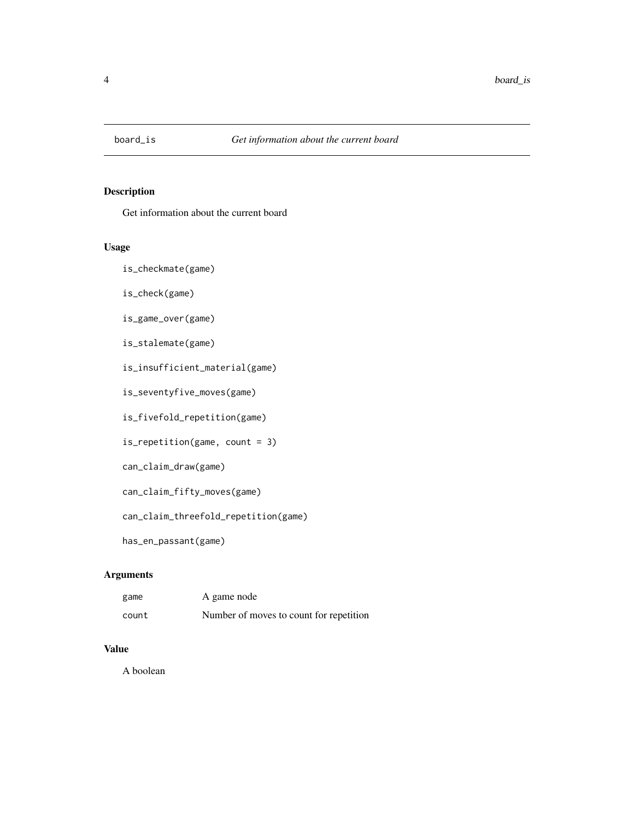<span id="page-3-0"></span>

Get information about the current board

#### Usage

is\_checkmate(game)

is\_check(game)

is\_game\_over(game)

is\_stalemate(game)

is\_insufficient\_material(game)

is\_seventyfive\_moves(game)

is\_fivefold\_repetition(game)

is\_repetition(game, count = 3)

can\_claim\_draw(game)

can\_claim\_fifty\_moves(game)

can\_claim\_threefold\_repetition(game)

has\_en\_passant(game)

# Arguments

| game  | A game node                             |
|-------|-----------------------------------------|
| count | Number of moves to count for repetition |

#### Value

A boolean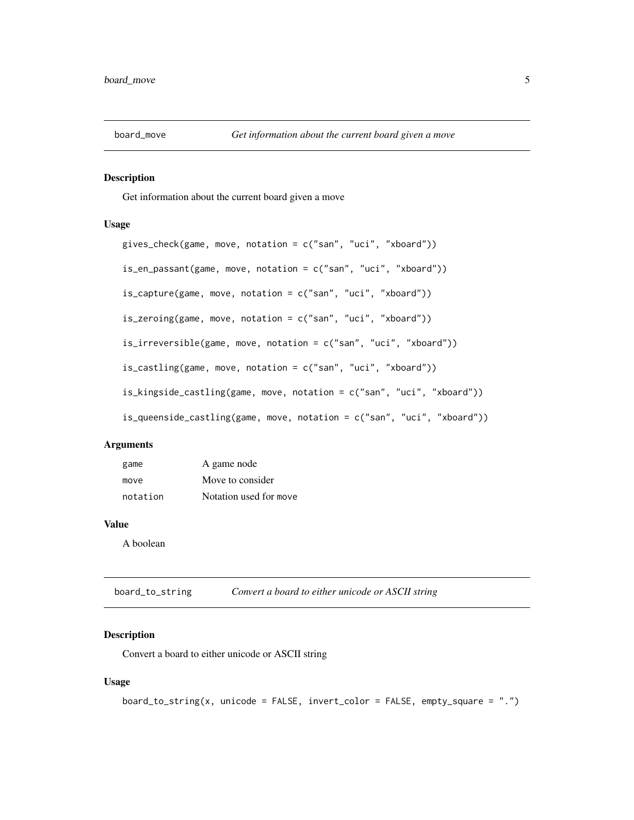<span id="page-4-0"></span>

Get information about the current board given a move

#### Usage

```
gives_check(game, move, notation = c("san", "uci", "xboard"))
is_en_passant(game, move, notation = c("san", "uci", "xboard"))is_capture(game, move, notation = c("san", "uci", "xboard"))
is_zeroing(game, move, notation = c("san", "uci", "xboard"))
is_irreversible(game, move, notation = c("san", "uci", "xboard"))
is_castling(game, move, notation = c("san", "uci", "xboard"))
is_kingside_castling(game, move, notation = c("san", "uci", "xboard"))
is_queenside_castling(game, move, notation = c("san", "uci", "xboard"))
```
#### Arguments

| game     | A game node            |
|----------|------------------------|
| move     | Move to consider       |
| notation | Notation used for move |

#### Value

A boolean

board\_to\_string *Convert a board to either unicode or ASCII string*

#### Description

Convert a board to either unicode or ASCII string

#### Usage

board\_to\_string(x, unicode = FALSE, invert\_color = FALSE, empty\_square = ".")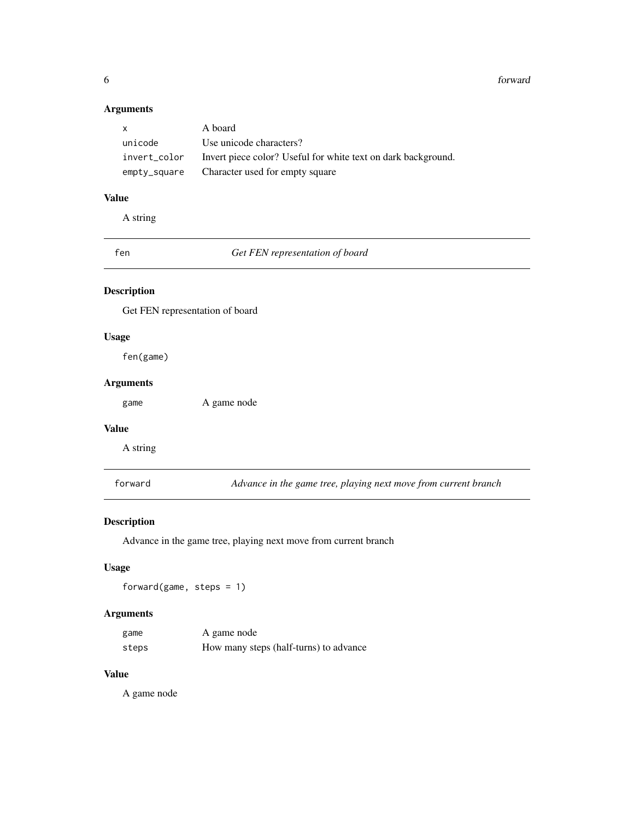6 forward

#### Arguments

| $\mathsf{X}$ | A board                                                       |
|--------------|---------------------------------------------------------------|
| unicode      | Use unicode characters?                                       |
| invert_color | Invert piece color? Useful for white text on dark background. |
| empty_square | Character used for empty square                               |

### Value

A string

<span id="page-5-1"></span>fen *Get FEN representation of board*

# Description

Get FEN representation of board

# Usage

fen(game)

#### Arguments

game A game node

#### Value

A string

forward *Advance in the game tree, playing next move from current branch*

#### Description

Advance in the game tree, playing next move from current branch

#### Usage

forward(game, steps =  $1$ )

#### Arguments

| game  | A game node                            |
|-------|----------------------------------------|
| steps | How many steps (half-turns) to advance |

### Value

<span id="page-5-0"></span>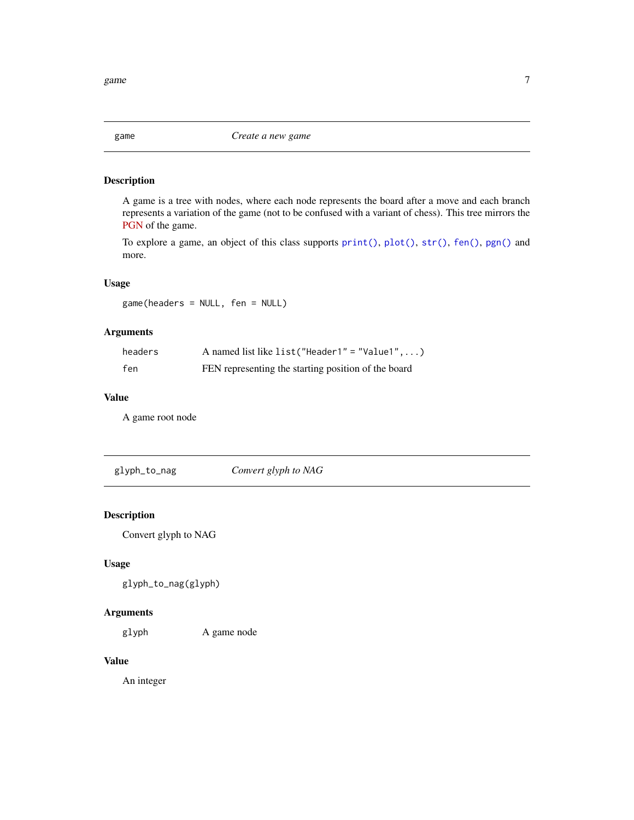<span id="page-6-0"></span>game *Create a new game*

#### Description

A game is a tree with nodes, where each node represents the board after a move and each branch represents a variation of the game (not to be confused with a variant of chess). This tree mirrors the [PGN](https://en.wikipedia.org/wiki/Portable_Game_Notation) of the game.

To explore a game, an object of this class supports [print\(\)](#page-0-0), [plot\(\)](#page-0-0), [str\(\)](#page-0-0), [fen\(\)](#page-5-1), [pgn\(\)](#page-12-1) and more.

#### Usage

game(headers = NULL, fen = NULL)

#### Arguments

| headers | A named list like list ("Header $1" = "Value1", \ldots)$ |
|---------|----------------------------------------------------------|
| fen     | FEN representing the starting position of the board      |

#### Value

A game root node

glyph\_to\_nag *Convert glyph to NAG*

#### Description

Convert glyph to NAG

#### Usage

glyph\_to\_nag(glyph)

#### Arguments

glyph A game node

#### Value

An integer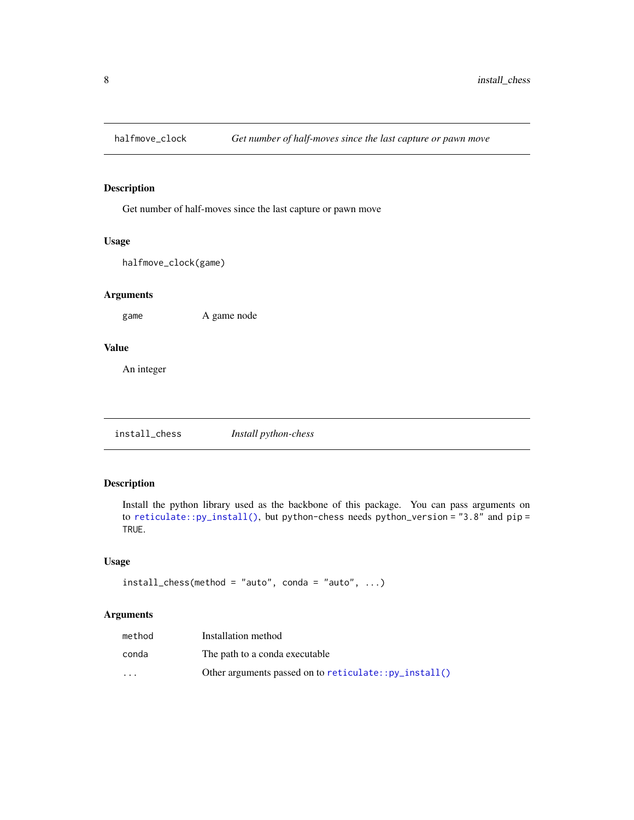<span id="page-7-0"></span>

Get number of half-moves since the last capture or pawn move

#### Usage

halfmove\_clock(game)

#### Arguments

game A game node

#### Value

An integer

install\_chess *Install python-chess*

#### Description

Install the python library used as the backbone of this package. You can pass arguments on to [reticulate::py\\_install\(\)](#page-0-0), but python-chess needs python\_version = "3.8" and pip = TRUE.

#### Usage

```
install\_chess(method = "auto", conda = "auto", ...)
```
#### Arguments

| method               | Installation method                                     |
|----------------------|---------------------------------------------------------|
| conda                | The path to a conda executable                          |
| $\ddot{\phantom{0}}$ | Other arguments passed on to $reticulate::py_install()$ |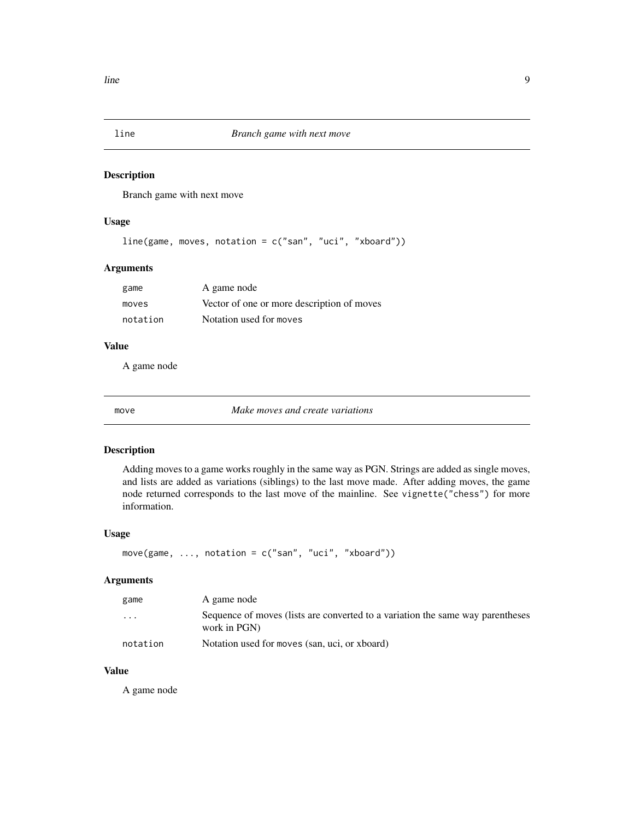<span id="page-8-0"></span>

Branch game with next move

#### Usage

```
line(game, moves, notation = c("san", "uci", "xboard"))
```
#### Arguments

| game     | A game node                                |
|----------|--------------------------------------------|
| moves    | Vector of one or more description of moves |
| notation | Notation used for moves                    |

#### Value

A game node

move *Make moves and create variations*

#### Description

Adding moves to a game works roughly in the same way as PGN. Strings are added as single moves, and lists are added as variations (siblings) to the last move made. After adding moves, the game node returned corresponds to the last move of the mainline. See vignette("chess") for more information.

#### Usage

```
move(game, ..., notation = c("san", "uci", "xboard"))
```
#### Arguments

| game     | A game node                                                                                    |
|----------|------------------------------------------------------------------------------------------------|
| $\cdot$  | Sequence of moves (lists are converted to a variation the same way parentheses<br>work in PGN) |
| notation | Notation used for moves (san, uci, or xboard)                                                  |

#### Value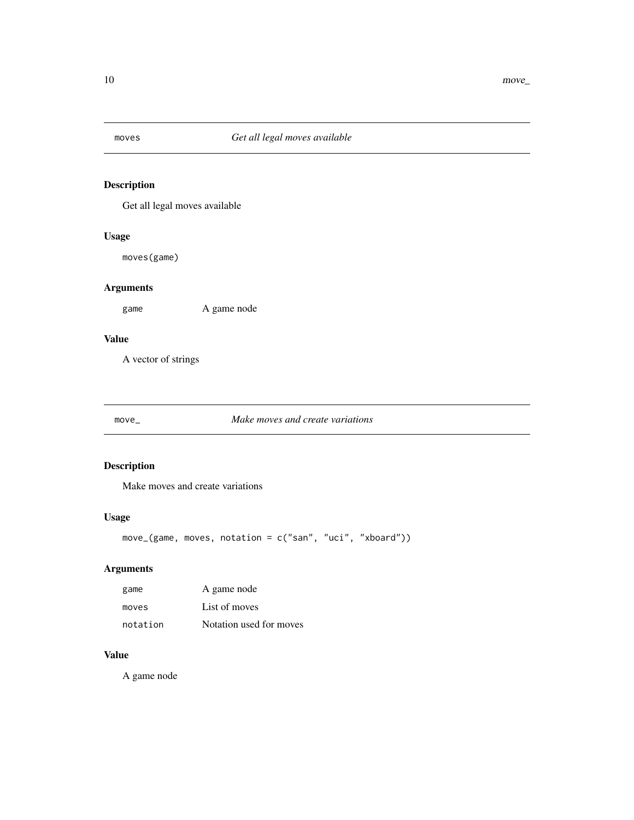<span id="page-9-0"></span>

Get all legal moves available

#### Usage

moves(game)

#### Arguments

game A game node

#### Value

A vector of strings

#### move\_ *Make moves and create variations*

#### Description

Make moves and create variations

#### Usage

```
move_(game, moves, notation = c("san", "uci", "xboard"))
```
#### Arguments

| game     | A game node             |
|----------|-------------------------|
| moves    | List of moves           |
| notation | Notation used for moves |

#### Value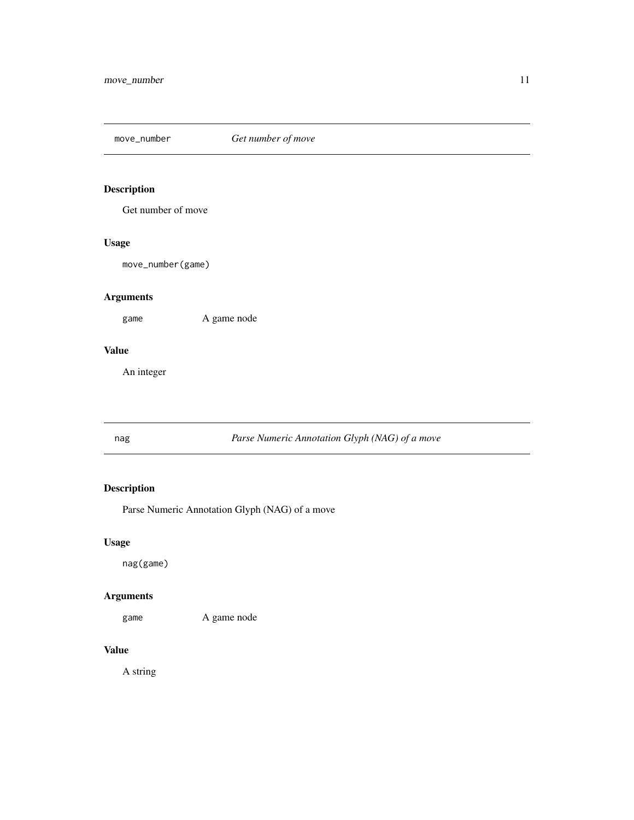<span id="page-10-0"></span>move\_number *Get number of move*

### Description

Get number of move

#### Usage

move\_number(game)

#### Arguments

game A game node

#### Value

An integer

### nag *Parse Numeric Annotation Glyph (NAG) of a move*

# Description

Parse Numeric Annotation Glyph (NAG) of a move

### Usage

nag(game)

#### Arguments

game A game node

# Value

A string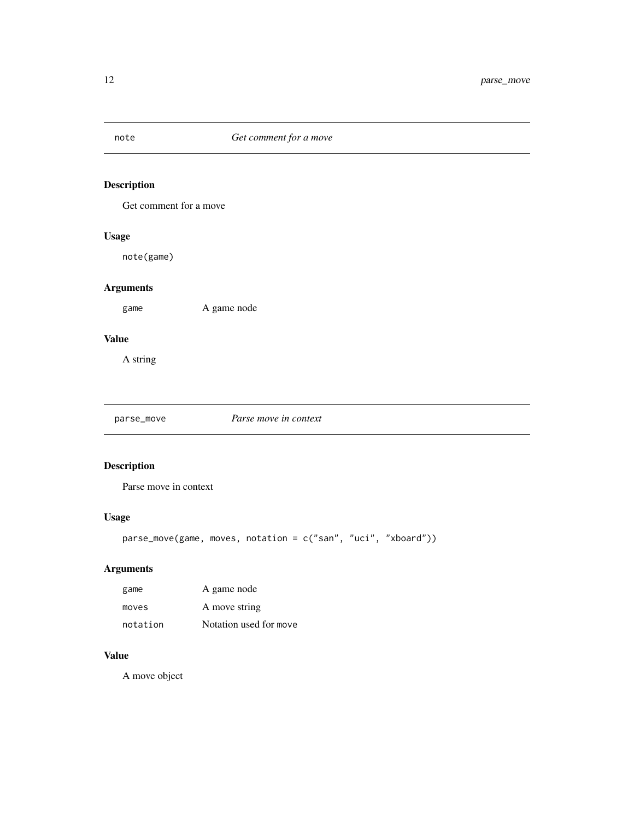<span id="page-11-0"></span>

Get comment for a move

#### Usage

note(game)

#### Arguments

game A game node

#### Value

A string

parse\_move *Parse move in context*

### Description

Parse move in context

#### Usage

```
parse_move(game, moves, notation = c("san", "uci", "xboard"))
```
# Arguments

| game     | A game node            |
|----------|------------------------|
| moves    | A move string          |
| notation | Notation used for move |

#### Value

A move object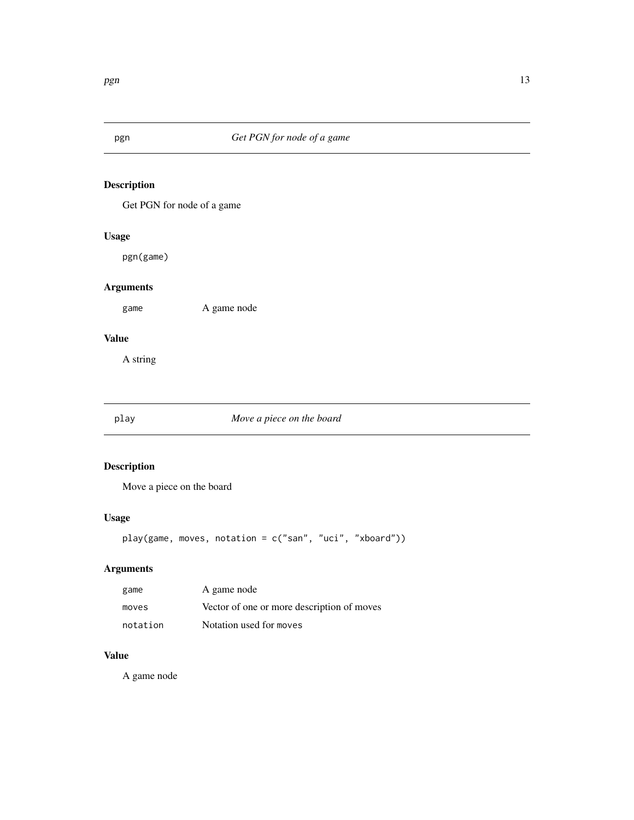<span id="page-12-1"></span><span id="page-12-0"></span>

Get PGN for node of a game

#### Usage

pgn(game)

#### Arguments

game A game node

#### Value

A string

#### play *Move a piece on the board*

# Description

Move a piece on the board

### Usage

```
play(game, moves, notation = c("san", "uci", "xboard"))
```
#### Arguments

| game     | A game node                                |
|----------|--------------------------------------------|
| moves    | Vector of one or more description of moves |
| notation | Notation used for moves                    |

# Value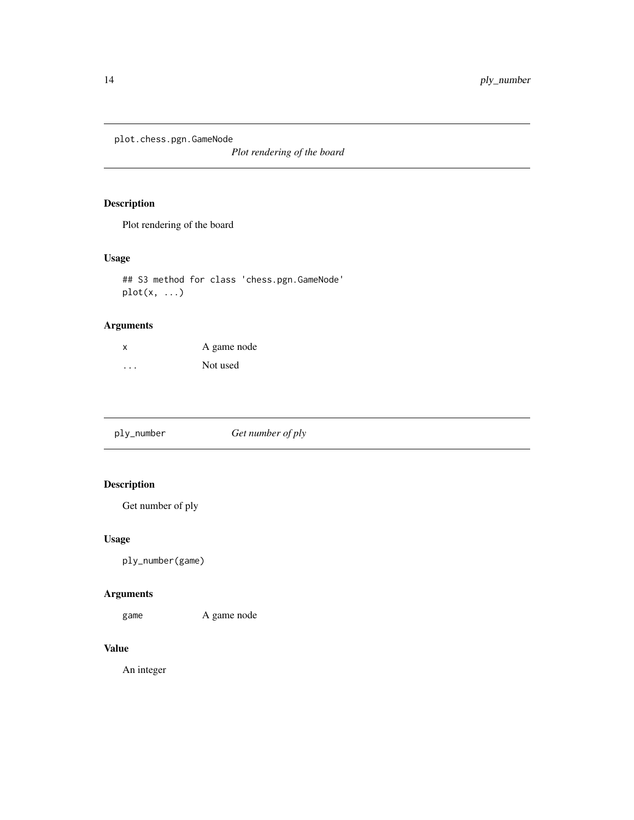<span id="page-13-0"></span>plot.chess.pgn.GameNode

*Plot rendering of the board*

### Description

Plot rendering of the board

### Usage

```
## S3 method for class 'chess.pgn.GameNode'
plot(x, \ldots)
```
### Arguments

| X | A game node |
|---|-------------|
| . | Not used    |

| ply_number | Get number of ply |
|------------|-------------------|
|------------|-------------------|

### Description

Get number of ply

#### Usage

ply\_number(game)

### Arguments

game A game node

#### Value

An integer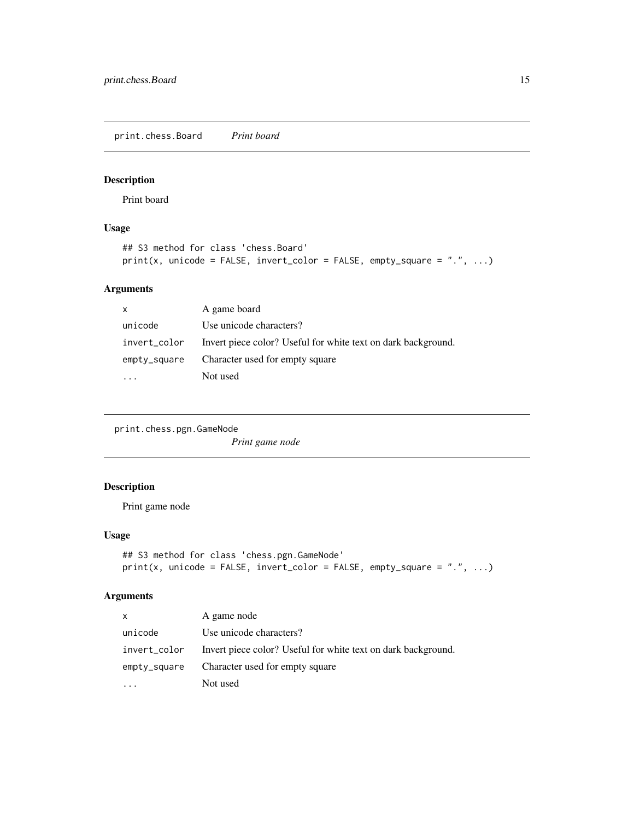<span id="page-14-0"></span>print.chess.Board *Print board*

### Description

Print board

# Usage

```
## S3 method for class 'chess.Board'
print(x, unicode = FALSE, invert\_color = FALSE, empty_square = ".", ...)
```
#### Arguments

| $\mathsf{x}$ | A game board                                                  |
|--------------|---------------------------------------------------------------|
| unicode      | Use unicode characters?                                       |
| invert_color | Invert piece color? Useful for white text on dark background. |
| empty_square | Character used for empty square                               |
|              | Not used                                                      |

print.chess.pgn.GameNode

*Print game node*

#### Description

Print game node

#### Usage

```
## S3 method for class 'chess.pgn.GameNode'
print(x, unicode = FALSE, invert\_color = FALSE, empty_square = ".", ...)
```
#### Arguments

| $\times$     | A game node                                                   |
|--------------|---------------------------------------------------------------|
| unicode      | Use unicode characters?                                       |
| invert_color | Invert piece color? Useful for white text on dark background. |
| empty_square | Character used for empty square                               |
|              | Not used                                                      |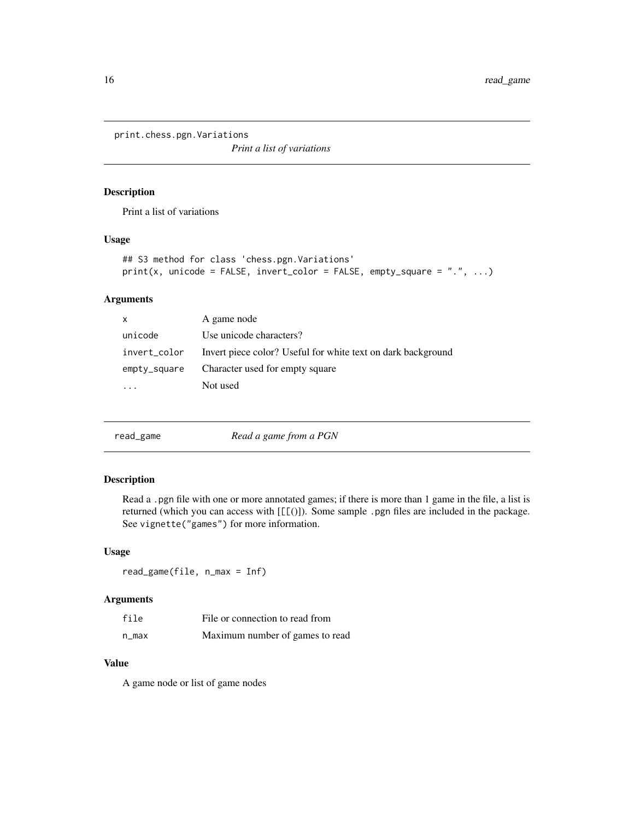<span id="page-15-0"></span>print.chess.pgn.Variations

*Print a list of variations*

#### Description

Print a list of variations

#### Usage

```
## S3 method for class 'chess.pgn.Variations'
print(x, unicode = FALSE, invert\_color = FALSE, empty_square = "." , ...)
```
#### Arguments

| $\mathsf{x}$ | A game node                                                  |
|--------------|--------------------------------------------------------------|
| unicode      | Use unicode characters?                                      |
| invert_color | Invert piece color? Useful for white text on dark background |
| empty_square | Character used for empty square                              |
|              | Not used                                                     |

|  | read_game | Read a game from a PGN |
|--|-----------|------------------------|
|--|-----------|------------------------|

#### Description

Read a .pgn file with one or more annotated games; if there is more than 1 game in the file, a list is returned (which you can access with [[[()]). Some sample .pgn files are included in the package. See vignette("games") for more information.

#### Usage

read\_game(file, n\_max = Inf)

#### Arguments

| file  | File or connection to read from |
|-------|---------------------------------|
| n max | Maximum number of games to read |

#### Value

A game node or list of game nodes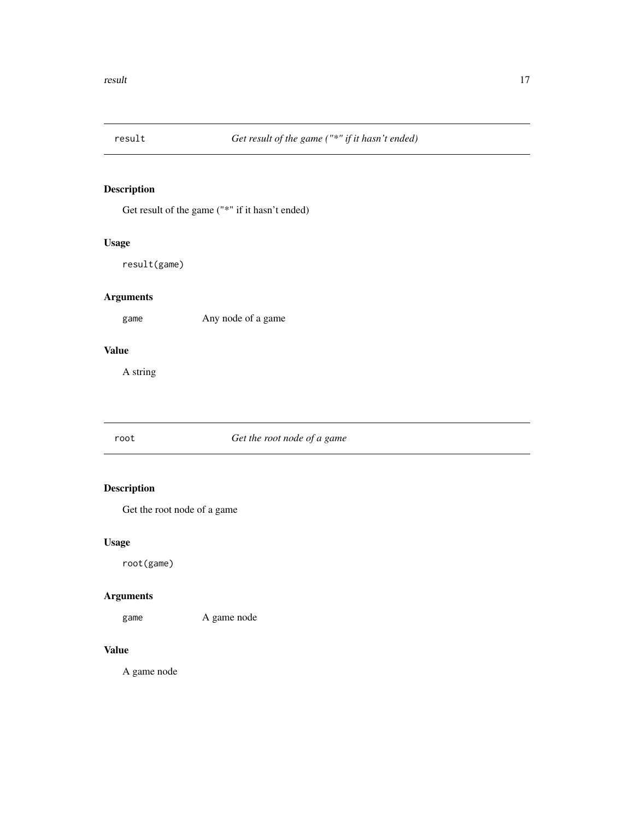<span id="page-16-0"></span>

Get result of the game ("\*" if it hasn't ended)

#### Usage

result(game)

### Arguments

game Any node of a game

#### Value

A string

#### root *Get the root node of a game*

# Description

Get the root node of a game

#### Usage

root(game)

#### Arguments

game A game node

#### Value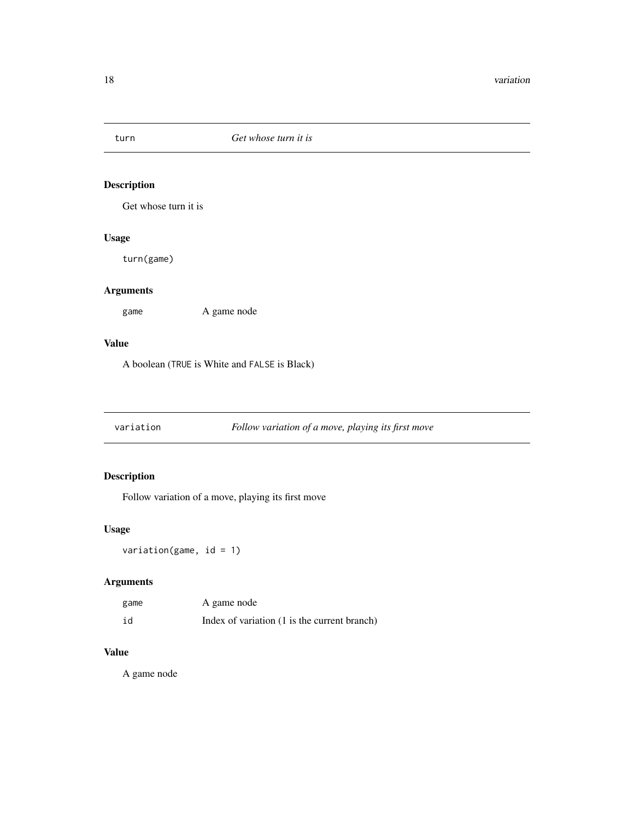<span id="page-17-0"></span>

Get whose turn it is

#### Usage

turn(game)

### Arguments

game A game node

#### Value

A boolean (TRUE is White and FALSE is Black)

# variation *Follow variation of a move, playing its first move*

#### Description

Follow variation of a move, playing its first move

### Usage

variation(game,  $id = 1$ )

### Arguments

| game | A game node                                  |
|------|----------------------------------------------|
| id   | Index of variation (1 is the current branch) |

#### Value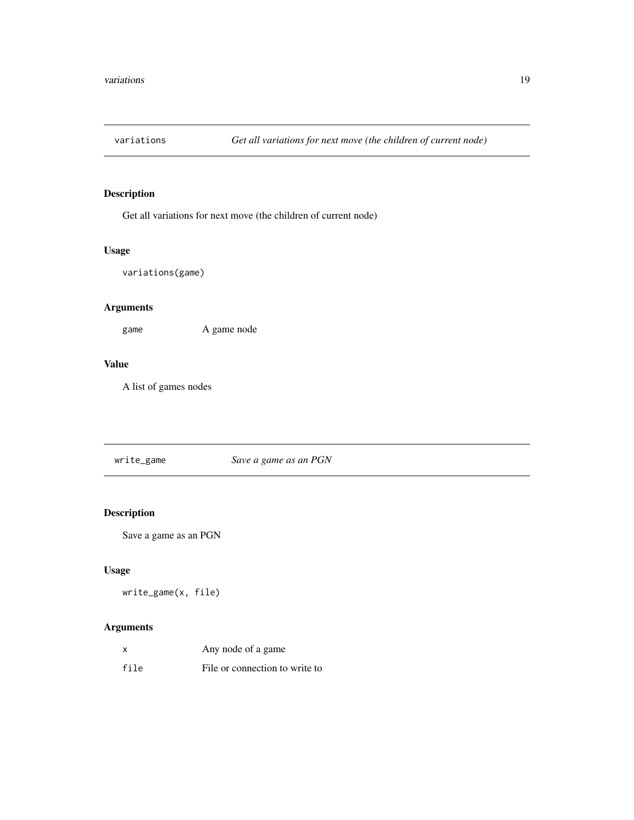<span id="page-18-0"></span>

Get all variations for next move (the children of current node)

### Usage

variations(game)

### Arguments

game A game node

#### Value

A list of games nodes

write\_game *Save a game as an PGN*

#### Description

Save a game as an PGN

#### Usage

write\_game(x, file)

#### Arguments

|      | Any node of a game             |
|------|--------------------------------|
| file | File or connection to write to |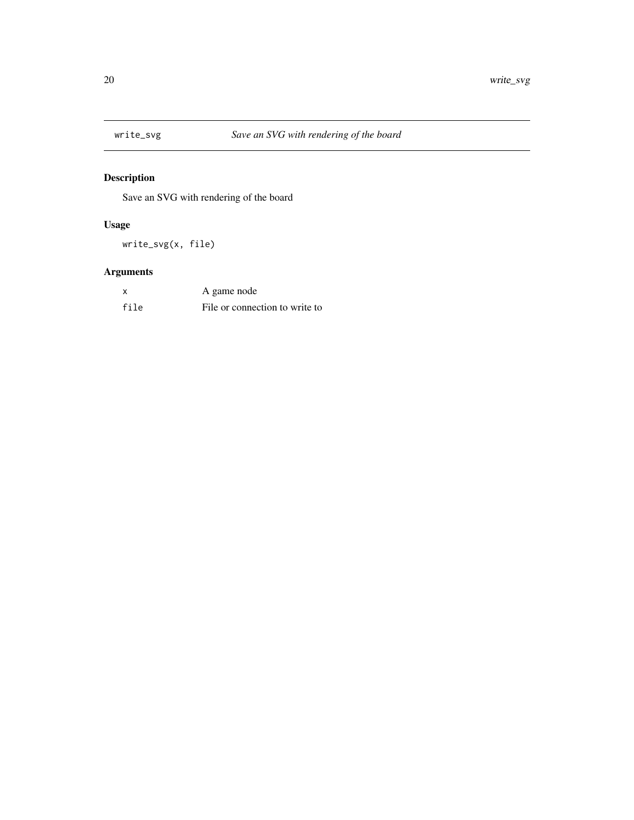<span id="page-19-0"></span>

Save an SVG with rendering of the board

# Usage

write\_svg(x, file)

# Arguments

|      | A game node                    |
|------|--------------------------------|
| file | File or connection to write to |